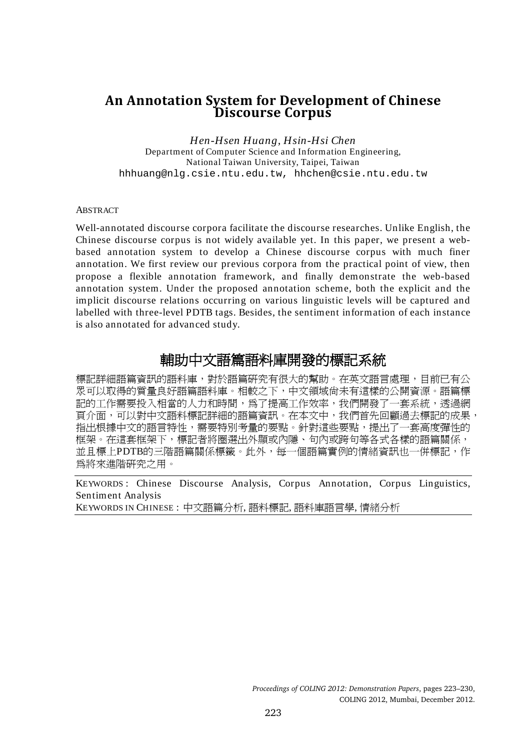## **An Annotation System for Development of Chinese Discourse Corpus**

*Hen-Hsen Huang, Hsin-Hsi Chen* Department of Computer Science and Information Engineering, National Taiwan University, Taipei, Taiwan hhhuang@nlg.csie.ntu.edu.tw, hhchen@csie.ntu.edu.tw

#### ABSTRACT

Well-annotated discourse corpora facilitate the discourse researches. Unlike English, the Chinese discourse corpus is not widely available yet. In this paper, we present a webbased annotation system to develop a Chinese discourse corpus with much finer annotation. We first review our previous corpora from the practical point of view, then propose a flexible annotation framework, and finally demonstrate the web-based annotation system. Under the proposed annotation scheme, both the explicit and the implicit discourse relations occurring on various linguistic levels will be captured and labelled with three-level PDTB tags. Besides, the sentiment information of each instance is also annotated for advanced study.

# 輔助中文語篇語料庫開發的標記系統

標記詳細語篇資訊的語料庫,對於語篇研究有很大的幫助。在英文語言處理,目前已有公 眾可以取得的質量良好語篇語料庫。相較之下,中文領域尚未有這樣的公開資源。語篇標 記的工作需要投入相當的人力和時間,為了提高工作效率,我們開發了一套系統,透過網 頁介面,可以對中文語料標記詳細的語篇資訊。在本文中,我們首先回顧過去標記的成果, 指出根據中文的語言特性,需要特別考量的要點。針對這些要點,提出了一套高度彈性的 框架。在這套框架下,標記者將圈選出外顯或內隱、句內或跨句等各式各樣的語篇關係, 並且標上PDTB的三階語篇關係標籤。此外,每一個語篇實例的情緒資訊也一併標記,作 為將來進階研究之用。

KEYWORDS : Chinese Discourse Analysis, Corpus Annotation, Corpus Linguistics, Sentiment Analysis

KEYWORDS IN CHINESE : 中文語篇分析, 語料標記, 語料庫語言學, 情緒分析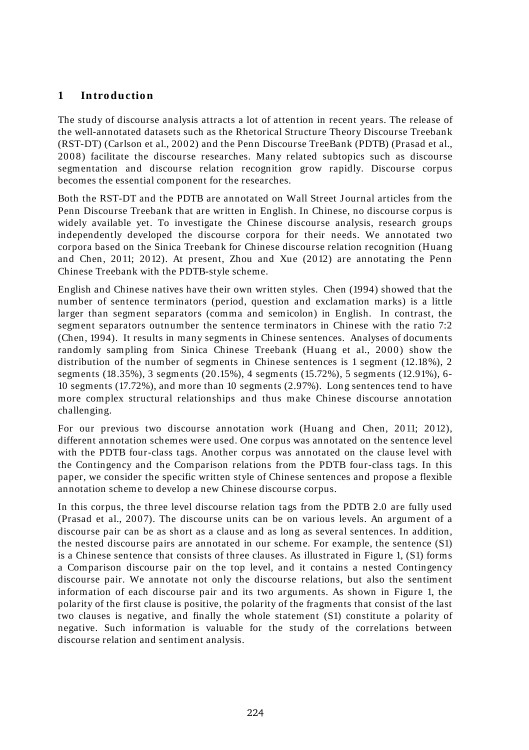## **1 In tro ductio n**

The study of discourse analysis attracts a lot of attention in recent years. The release of the well-annotated datasets such as the Rhetorical Structure Theory Discourse Treebank (RST-DT) (Carlson et al., 2002) and the Penn Discourse TreeBank (PDTB) (Prasad et al., 200 8) facilitate the discourse researches. Many related subtopics such as discourse segmentation and discourse relation recognition grow rapidly. Discourse corpus becomes the essential component for the researches.

Both the RST-DT and the PDTB are annotated on Wall Street J ournal articles from the Penn Discourse Treebank that are written in English. In Chinese, no discourse corpus is widely available yet. To investigate the Chinese discourse analysis, research groups independently developed the discourse corpora for their needs. We annotated two corpora based on the Sinica Treebank for Chinese discourse relation recognition (Huang and Chen, 2011; 2012). At present, Zhou and Xue (2012) are annotating the Penn Chinese Treebank with the PDTB-style scheme.

English and Chinese natives have their own written styles. Chen (1994) showed that the number of sentence terminators (period, question and exclamation marks) is a little larger than segment separators (comma and semicolon) in English. In contrast, the segment separators outnumber the sentence terminators in Chinese with the ratio 7:2 (Chen, 1994). It results in many segments in Chinese sentences. Analyses of documents randomly sampling from Sinica Chinese Treebank (Huang et al., 2000) show the distribution of the number of segments in Chinese sentences is 1 segment (12.18%), 2 segments (18.35%), 3 segments (20 .15%), 4 segments (15.72%), 5 segments (12.91%), 6- 10 segments (17.72%), and more than 10 segments (2.97%). Long sentences tend to have more complex structural relationships and thus make Chinese discourse annotation challenging.

For our previous two discourse annotation work (Huang and Chen, 2011; 2012), different annotation schemes were used. One corpus was annotated on the sentence level with the PDTB four-class tags. Another corpus was annotated on the clause level with the Contingency and the Comparison relations from the PDTB four-class tags. In this paper, we consider the specific written style of Chinese sentences and propose a flexible annotation scheme to develop a new Chinese discourse corpus.

In this corpus, the three level discourse relation tags from the PDTB 2.0 are fully used (Prasad et al., 2007). The discourse units can be on various levels. An argument of a discourse pair can be as short as a clause and as long as several sentences. In addition, the nested discourse pairs are annotated in our scheme. For example, the sentence (S1) is a Chinese sentence that consists of three clauses. As illustrated in Figure 1, (S1) forms a Comparison discourse pair on the top level, and it contains a nested Contingency discourse pair. We annotate not only the discourse relations, but also the sentiment information of each discourse pair and its two arguments. As shown in Figure 1, the polarity of the first clause is positive, the polarity of the fragments that consist of the last two clauses is negative, and finally the whole statement (S1) constitute a polarity of negative. Such information is valuable for the study of the correlations between discourse relation and sentiment analysis.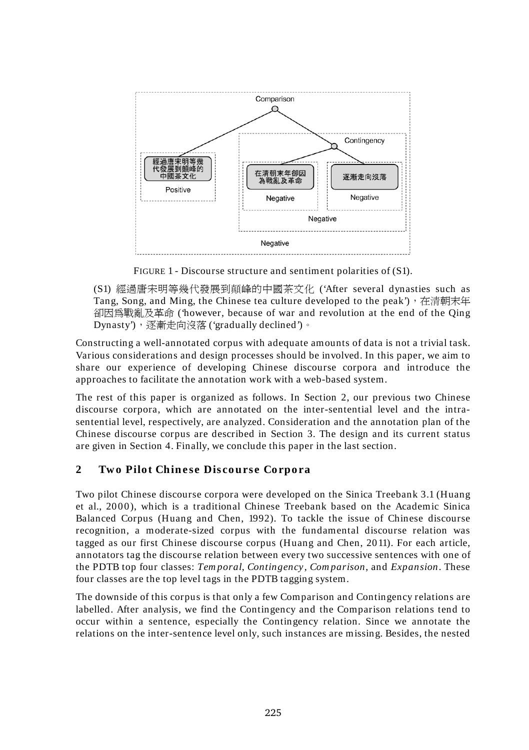

FIGURE 1 - Discourse structure and sentiment polarities of (S1).

(S1) 經過唐宋明等幾代發展到顛峰的中國茶文化 ('After several dynasties such as Tang, Song, and Ming, the Chinese tea culture developed to the peak'), 在清朝末年 卻因為戰亂及革命 ('however, because of war and revolution at the end of the Qing Dynasty'),逐漸走向沒落 ('gradually declined')。

Constructing a well-annotated corpus with adequate amounts of data is not a trivial task. Various considerations and design processes should be involved. In this paper, we aim to share our experience of developing Chinese discourse corpora and introduce the approaches to facilitate the annotation work with a web-based system.

The rest of this paper is organized as follows. In Section 2, our previous two Chinese discourse corpora, which are annotated on the inter-sentential level and the intrasentential level, respectively, are analyzed. Consideration and the annotation plan of the Chinese discourse corpus are described in Section 3. The design and its current status are given in Section 4. Finally, we conclude this paper in the last section.

## 2 Two Pilot Chinese Discourse Corpora

Two pilot Chinese discourse corpora were developed on the Sinica Treebank 3.1 (Huang et al., 200 0), which is a traditional Chinese Treebank based on the Academic Sinica Balanced Corpus (Huang and Chen, 1992). To tackle the issue of Chinese discourse recognition, a moderate-sized corpus with the fundamental discourse relation was tagged as our first Chinese discourse corpus (Huang and Chen, 2011). For each article, annotators tag the discourse relation between every two successive sentences with one of the PDTB top four classes: *Tem poral*, *Contingency* , *Com parison*, and *Expansion*. These four classes are the top level tags in the PDTB tagging system.

The downside of this corpus is that only a few Comparison and Contingency relations are labelled. After analysis, we find the Contingency and the Comparison relations tend to occur within a sentence, especially the Contingency relation. Since we annotate the relations on the inter-sentence level only, such instances are missing. Besides, the nested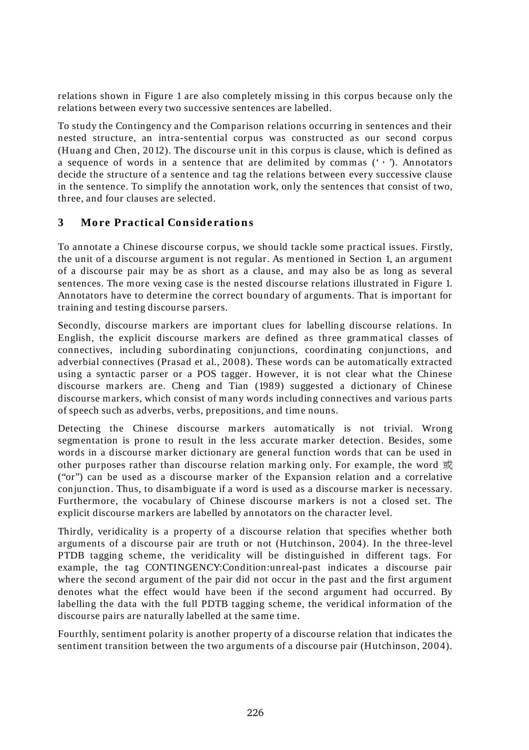relations shown in Figure 1 are also completely missing in this corpus because only the relations between every two successive sentences are labelled.

To study the Contingency and the Comparison relations occurring in sentences and their nested structure, an intra-sentential corpus was constructed as our second corpus (Huang and Chen, 2012). The discourse unit in this corpus is clause, which is defined as a sequence of words in a sentence that are delimited by commas  $(2, 2)$ . Annotators decide the structure of a sentence and tag the relations between every successive clause in the sentence. To simplify the annotation work, only the sentences that consist of two, three, and four clauses are selected.

### **3 Mo re Practical Co n side ratio n s**

To annotate a Chinese discourse corpus, we should tackle some practical issues. Firstly, the unit of a discourse argument is not regular. As mentioned in Section 1, an argument of a discourse pair may be as short as a clause, and may also be as long as several sentences. The more vexing case is the nested discourse relations illustrated in Figure 1. Annotators have to determine the correct boundary of arguments. That is important for training and testing discourse parsers.

Secondly, discourse markers are important clues for labelling discourse relations. In English, the explicit discourse markers are defined as three grammatical classes of connectives, including subordinating conjunctions, coordinating conjunctions, and adverbial connectives (Prasad et al., 200 8). These words can be automatically extracted using a syntactic parser or a POS tagger. However, it is not clear what the Chinese discourse markers are. Cheng and Tian (1989) suggested a dictionary of Chinese discourse markers, which consist of many words including connectives and various parts of speech such as adverbs, verbs, prepositions, and time nouns.

Detecting the Chinese discourse markers automatically is not trivial. Wrong segmentation is prone to result in the less accurate marker detection. Besides, some words in a discourse marker dictionary are general function words that can be used in other purposes rather than discourse relation marking only. For example, the word  $\vec{\mathbb{E}}$ ("or") can be used as a discourse marker of the Expansion relation and a correlative conjunction. Thus, to disambiguate if a word is used as a discourse marker is necessary. Furthermore, the vocabulary of Chinese discourse markers is not a closed set. The explicit discourse markers are labelled by annotators on the character level.

Thirdly, veridicality is a property of a discourse relation that specifies whether both arguments of a discourse pair are truth or not (Hutchinson, 2004). In the three-level PTDB tagging scheme, the veridicality will be distinguished in different tags. For example, the tag CONTINGENCY:Condition:unreal-past indicates a discourse pair where the second argument of the pair did not occur in the past and the first argument denotes what the effect would have been if the second argument had occurred. By labelling the data with the full PDTB tagging scheme, the veridical information of the discourse pairs are naturally labelled at the same time.

Fourthly, sentiment polarity is another property of a discourse relation that indicates the sentiment transition between the two arguments of a discourse pair (Hutchinson, 2004).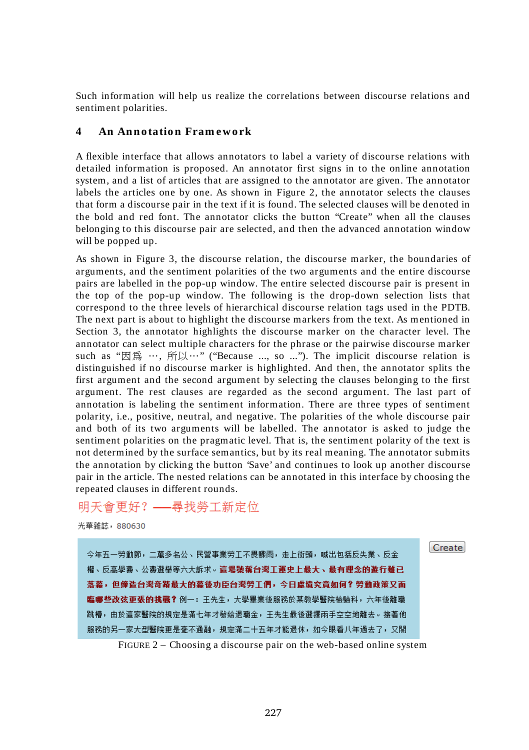Such information will help us realize the correlations between discourse relations and sentiment polarities.

#### **4 An An n o tatio n Fram e w o rk**

A flexible interface that allows annotators to label a variety of discourse relations with detailed information is proposed. An annotator first signs in to the online annotation system, and a list of articles that are assigned to the annotator are given. The annotator labels the articles one by one. As shown in Figure 2, the annotator selects the clauses that form a discourse pair in the text if it is found. The selected clauses will be denoted in the bold and red font. The annotator clicks the button "Create" when all the clauses belonging to this discourse pair are selected, and then the advanced annotation window will be popped up.

As shown in Figure 3, the discourse relation, the discourse marker, the boundaries of arguments, and the sentiment polarities of the two arguments and the entire discourse pairs are labelled in the pop-up window. The entire selected discourse pair is present in the top of the pop-up window. The following is the drop-down selection lists that correspond to the three levels of hierarchical discourse relation tags used in the PDTB. The next part is about to highlight the discourse markers from the text. As mentioned in Section 3, the annotator highlights the discourse marker on the character level. The annotator can select multiple characters for the phrase or the pairwise discourse marker such as "因為 …, 所以…" ("Because ..., so ..."). The implicit discourse relation is distinguished if no discourse marker is highlighted. And then, the annotator splits the first argument and the second argument by selecting the clauses belonging to the first argument. The rest clauses are regarded as the second argument. The last part of annotation is labeling the sentiment information. There are three types of sentiment polarity, i.e., positive, neutral, and negative. The polarities of the whole discourse pair and both of its two arguments will be labelled. The annotator is asked to judge the sentiment polarities on the pragmatic level. That is, the sentiment polarity of the text is not determined by the surface semantics, but by its real meaning. The annotator submits the annotation by clicking the button 'Save' and continues to look up another discourse pair in the article. The nested relations can be annotated in this interface by choosing the repeated clauses in different rounds.

## 明天會更好? ---- 尋找勞工新定位

光華雜誌, 880630

今年五一勞動節,二萬多名公、民營事業勞工不畏驟雨,走上街頭,喊出包括反失業、反金 權、反高學盡、公盡選舉等六大訴求。這場號稱台灣工運史上最大、最有理念的遊行雖已 **落幕, 但缔造台灣奇蹟最大的幕後功臣台灣勞工們, 今日虚境究竟如何? 勞動政策又面** 臨哪些改弦更張的挑戰?例一: 王先生, 大學畢業後服務於某教學醫院檢驗科, 六年後離職 跳槽,由於這家醫院的規定是滿七年才發給退職金,王先生最後選擇兩手空空地離去。接著他 服務的另一家大型醫院更是毫不通融,規定滿二十五年才能退休,如今眼看八年過去了,又開 Create

FIGURE 2 – Choosing a discourse pair on the web-based online system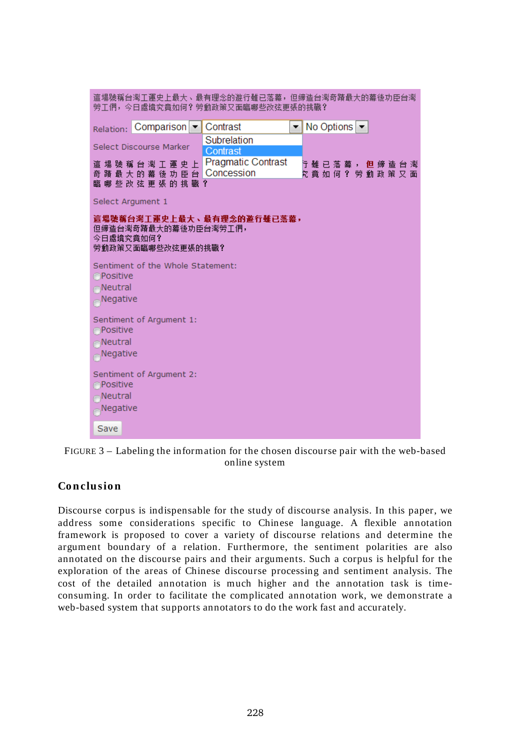| 這場號稱台灣工運史上最大、最有理念的遊行雖已落幕,但締造台灣奇蹟最大的幕後功臣台灣<br>勞工們,今日處境究竟如何?勞動政策又面臨哪些改弦更張的挑戰?                                                                                                     |
|---------------------------------------------------------------------------------------------------------------------------------------------------------------------------------|
| No Options $\blacktriangledown$<br>Contrast<br>Relation: Comparison -<br>▼                                                                                                      |
| Subrelation<br>Select Discourse Marker<br>Contrast                                                                                                                              |
| <b>Pragmatic Contrast</b><br>這 場 號 稱 台 灣 工 運 史 上<br>亍 雖 已 落 幕 , <b>但</b> 締 造 台 灣<br>奇 蹟 最 大 的 幕 後 功 臣 台 Concession<br><sup>究</sup> 意 如 何 ? 勞 動 政 策 又 面<br>臨 哪 些 改 弦 更 張 的 挑 戰 ? |
| Select Argument 1                                                                                                                                                               |
| 這場號稱台灣工運史上最大、最有理念的遊行雖已蒸幕,<br>但締造台灣奇蹟最大的幕後功臣台灣勞工們,<br>今日處境究竟如何?<br>勞動政策又面臨哪些改弦更張的挑戰?                                                                                             |
| Sentiment of the Whole Statement:<br><b>OPositive</b><br>Neutral<br>Negative                                                                                                    |
| Sentiment of Argument 1:<br><b>Positive</b><br>Neutral<br>Negative                                                                                                              |
| Sentiment of Argument 2:<br><b>Positive</b><br>Neutral<br>Negative                                                                                                              |
| Save                                                                                                                                                                            |

FIGURE 3 – Labeling the information for the chosen discourse pair with the web-based online system

### **Co n clusio n**

Discourse corpus is indispensable for the study of discourse analysis. In this paper, we address some considerations specific to Chinese language. A flexible annotation framework is proposed to cover a variety of discourse relations and determine the argument boundary of a relation. Furthermore, the sentiment polarities are also annotated on the discourse pairs and their arguments. Such a corpus is helpful for the exploration of the areas of Chinese discourse processing and sentiment analysis. The cost of the detailed annotation is much higher and the annotation task is timeconsuming. In order to facilitate the complicated annotation work, we demonstrate a web-based system that supports annotators to do the work fast and accurately.